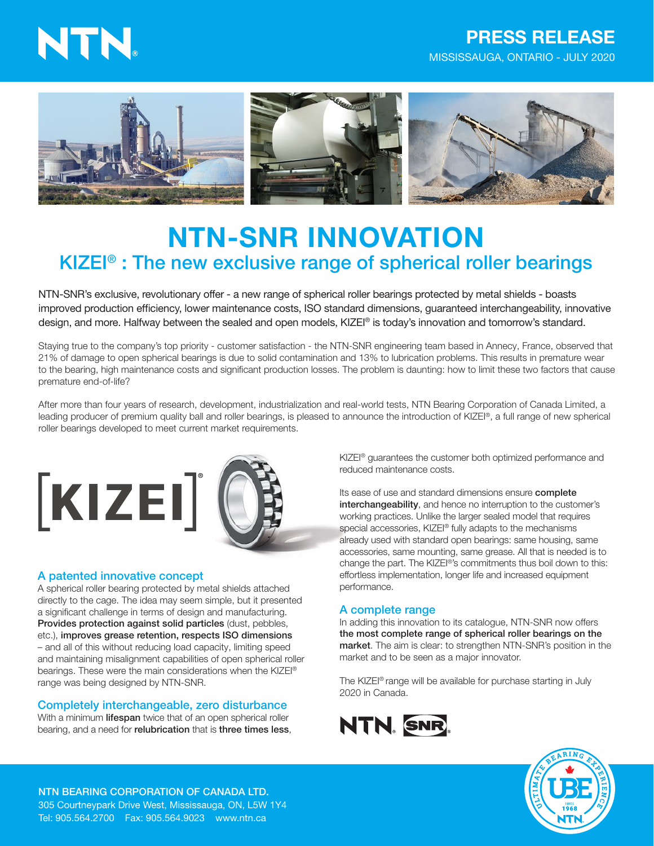# NTN.

## PRESS RELEASE MISSISSAUGA, ONTARIO - JULY 2020



## NTN-SNR INNOVATION KIZEI® : The new exclusive range of spherical roller bearings

NTN-SNR's exclusive, revolutionary offer - a new range of spherical roller bearings protected by metal shields - boasts improved production efficiency, lower maintenance costs, ISO standard dimensions, guaranteed interchangeability, innovative design, and more. Halfway between the sealed and open models, KIZEI® is today's innovation and tomorrow's standard.

Staying true to the company's top priority - customer satisfaction - the NTN-SNR engineering team based in Annecy, France, observed that 21% of damage to open spherical bearings is due to solid contamination and 13% to lubrication problems. This results in premature wear to the bearing, high maintenance costs and significant production losses. The problem is daunting: how to limit these two factors that cause premature end-of-life?

After more than four years of research, development, industrialization and real-world tests, NTN Bearing Corporation of Canada Limited, a leading producer of premium quality ball and roller bearings, is pleased to announce the introduction of KIZEI®, a full range of new spherical roller bearings developed to meet current market requirements.



## A patented innovative concept

A spherical roller bearing protected by metal shields attached directly to the cage. The idea may seem simple, but it presented a significant challenge in terms of design and manufacturing. Provides protection against solid particles (dust, pebbles, etc.), improves grease retention, respects ISO dimensions – and all of this without reducing load capacity, limiting speed and maintaining misalignment capabilities of open spherical roller bearings. These were the main considerations when the KIZEI® range was being designed by NTN-SNR.

### Completely interchangeable, zero disturbance

With a minimum lifespan twice that of an open spherical roller bearing, and a need for relubrication that is three times less, KIZEI® guarantees the customer both optimized performance and reduced maintenance costs.

Its ease of use and standard dimensions ensure complete interchangeability, and hence no interruption to the customer's working practices. Unlike the larger sealed model that requires special accessories, KIZEI® fully adapts to the mechanisms already used with standard open bearings: same housing, same accessories, same mounting, same grease. All that is needed is to change the part. The KIZEI®'s commitments thus boil down to this: effortless implementation, longer life and increased equipment performance.

### A complete range

In adding this innovation to its catalogue, NTN-SNR now offers the most complete range of spherical roller bearings on the market. The aim is clear: to strengthen NTN-SNR's position in the market and to be seen as a major innovator.

The KIZEI® range will be available for purchase starting in July 2020 in Canada.





NTN BEARING CORPORATION OF CANADA LTD. 305 Courtneypark Drive West, Mississauga, ON, L5W 1Y4 Tel: 905.564.2700 Fax: 905.564.9023 www.ntn.ca